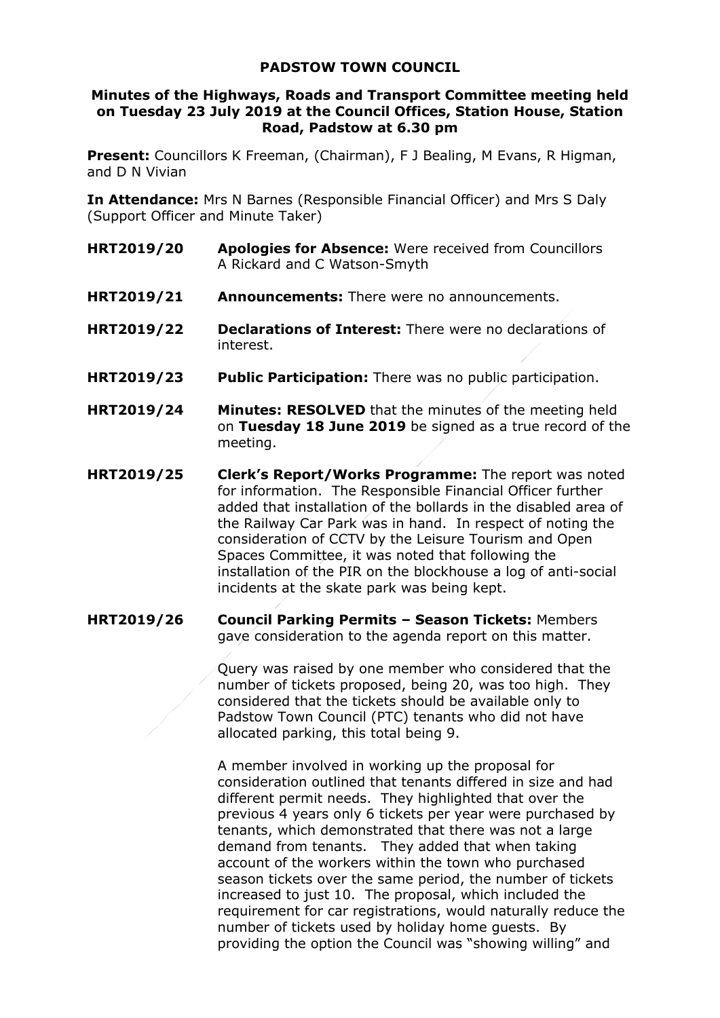## **PADSTOW TOWN COUNCIL**

## **Minutes of the Highways, Roads and Transport Committee meeting held on Tuesday 23 July 2019 at the Council Offices, Station House, Station Road, Padstow at 6.30 pm**

**Present:** Councillors K Freeman, (Chairman), F J Bealing, M Evans, R Higman, and D N Vivian

**In Attendance:** Mrs N Barnes (Responsible Financial Officer) and Mrs S Daly (Support Officer and Minute Taker)

- **HRT2019/20 Apologies for Absence:** Were received from Councillors A Rickard and C Watson-Smyth
- **HRT2019/21 Announcements:** There were no announcements.
- **HRT2019/22 Declarations of Interest:** There were no declarations of interest.
- **HRT2019/23 Public Participation:** There was no public participation.
- **HRT2019/24 Minutes: RESOLVED** that the minutes of the meeting held on **Tuesday 18 June 2019** be signed as a true record of the meeting.
- **HRT2019/25 Clerk's Report/Works Programme:** The report was noted for information. The Responsible Financial Officer further added that installation of the bollards in the disabled area of the Railway Car Park was in hand. In respect of noting the consideration of CCTV by the Leisure Tourism and Open Spaces Committee, it was noted that following the installation of the PIR on the blockhouse a log of anti-social incidents at the skate park was being kept.
- **HRT2019/26 Council Parking Permits – Season Tickets:** Members gave consideration to the agenda report on this matter.

Query was raised by one member who considered that the number of tickets proposed, being 20, was too high. They considered that the tickets should be available only to Padstow Town Council (PTC) tenants who did not have allocated parking, this total being 9.

A member involved in working up the proposal for consideration outlined that tenants differed in size and had different permit needs. They highlighted that over the previous 4 years only 6 tickets per year were purchased by tenants, which demonstrated that there was not a large demand from tenants. They added that when taking account of the workers within the town who purchased season tickets over the same period, the number of tickets increased to just 10. The proposal, which included the requirement for car registrations, would naturally reduce the number of tickets used by holiday home guests. By providing the option the Council was "showing willing" and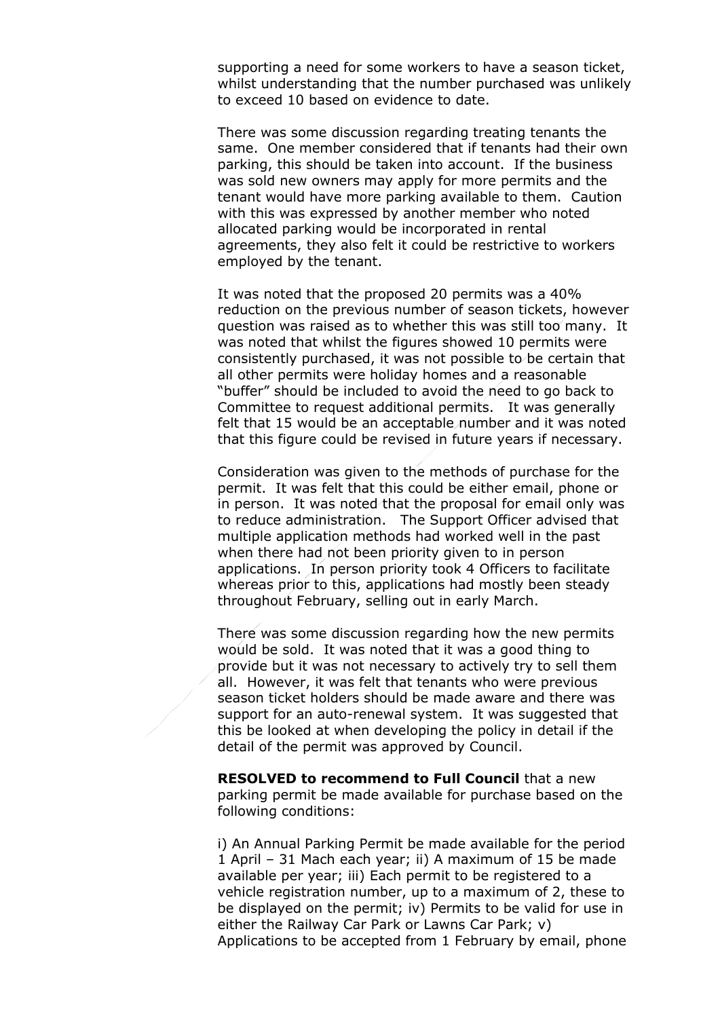supporting a need for some workers to have a season ticket, whilst understanding that the number purchased was unlikely to exceed 10 based on evidence to date.

There was some discussion regarding treating tenants the same. One member considered that if tenants had their own parking, this should be taken into account. If the business was sold new owners may apply for more permits and the tenant would have more parking available to them. Caution with this was expressed by another member who noted allocated parking would be incorporated in rental agreements, they also felt it could be restrictive to workers employed by the tenant.

It was noted that the proposed 20 permits was a 40% reduction on the previous number of season tickets, however question was raised as to whether this was still too many. It was noted that whilst the figures showed 10 permits were consistently purchased, it was not possible to be certain that all other permits were holiday homes and a reasonable "buffer" should be included to avoid the need to go back to Committee to request additional permits. It was generally felt that 15 would be an acceptable number and it was noted that this figure could be revised in future years if necessary.

Consideration was given to the methods of purchase for the permit. It was felt that this could be either email, phone or in person. It was noted that the proposal for email only was to reduce administration. The Support Officer advised that multiple application methods had worked well in the past when there had not been priority given to in person applications. In person priority took 4 Officers to facilitate whereas prior to this, applications had mostly been steady throughout February, selling out in early March.

There was some discussion regarding how the new permits would be sold. It was noted that it was a good thing to provide but it was not necessary to actively try to sell them all. However, it was felt that tenants who were previous season ticket holders should be made aware and there was support for an auto-renewal system. It was suggested that this be looked at when developing the policy in detail if the detail of the permit was approved by Council.

**RESOLVED to recommend to Full Council that a new** parking permit be made available for purchase based on the following conditions:

i) An Annual Parking Permit be made available for the period 1 April – 31 Mach each year; ii) A maximum of 15 be made available per year; iii) Each permit to be registered to a vehicle registration number, up to a maximum of 2, these to be displayed on the permit; iv) Permits to be valid for use in either the Railway Car Park or Lawns Car Park; v) Applications to be accepted from 1 February by email, phone